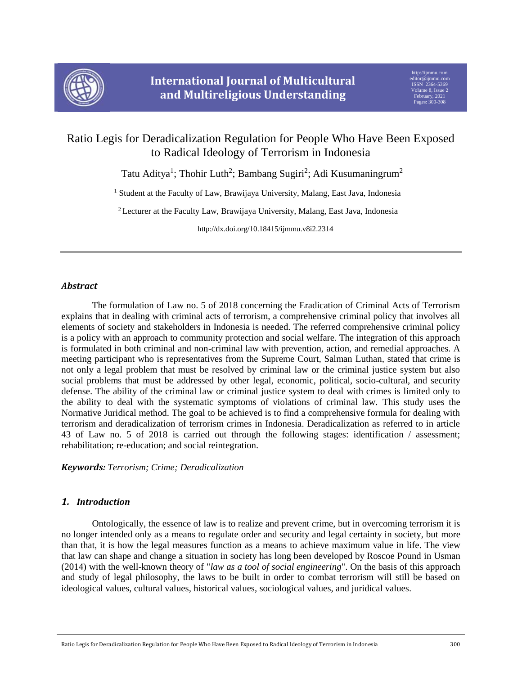

# Ratio Legis for Deradicalization Regulation for People Who Have Been Exposed to Radical Ideology of Terrorism in Indonesia

Tatu Aditya<sup>1</sup>; Thohir Luth<sup>2</sup>; Bambang Sugiri<sup>2</sup>; Adi Kusumaningrum<sup>2</sup>

<sup>1</sup> Student at the Faculty of Law, Brawijaya University, Malang, East Java, Indonesia

<sup>2</sup> Lecturer at the Faculty Law, Brawijaya University, Malang, East Java, Indonesia

http://dx.doi.org/10.18415/ijmmu.v8i2.2314

# *Abstract*

The formulation of Law no. 5 of 2018 concerning the Eradication of Criminal Acts of Terrorism explains that in dealing with criminal acts of terrorism, a comprehensive criminal policy that involves all elements of society and stakeholders in Indonesia is needed. The referred comprehensive criminal policy is a policy with an approach to community protection and social welfare. The integration of this approach is formulated in both criminal and non-criminal law with prevention, action, and remedial approaches. A meeting participant who is representatives from the Supreme Court, Salman Luthan, stated that crime is not only a legal problem that must be resolved by criminal law or the criminal justice system but also social problems that must be addressed by other legal, economic, political, socio-cultural, and security defense. The ability of the criminal law or criminal justice system to deal with crimes is limited only to the ability to deal with the systematic symptoms of violations of criminal law. This study uses the Normative Juridical method. The goal to be achieved is to find a comprehensive formula for dealing with terrorism and deradicalization of terrorism crimes in Indonesia. Deradicalization as referred to in article 43 of Law no. 5 of 2018 is carried out through the following stages: identification / assessment; rehabilitation; re-education; and social reintegration.

## *Keywords: Terrorism; Crime; Deradicalization*

# *1. Introduction*

Ontologically, the essence of law is to realize and prevent crime, but in overcoming terrorism it is no longer intended only as a means to regulate order and security and legal certainty in society, but more than that, it is how the legal measures function as a means to achieve maximum value in life. The view that law can shape and change a situation in society has long been developed by Roscoe Pound in Usman (2014) with the well-known theory of "*law as a tool of social engineering*". On the basis of this approach and study of legal philosophy, the laws to be built in order to combat terrorism will still be based on ideological values, cultural values, historical values, sociological values, and juridical values.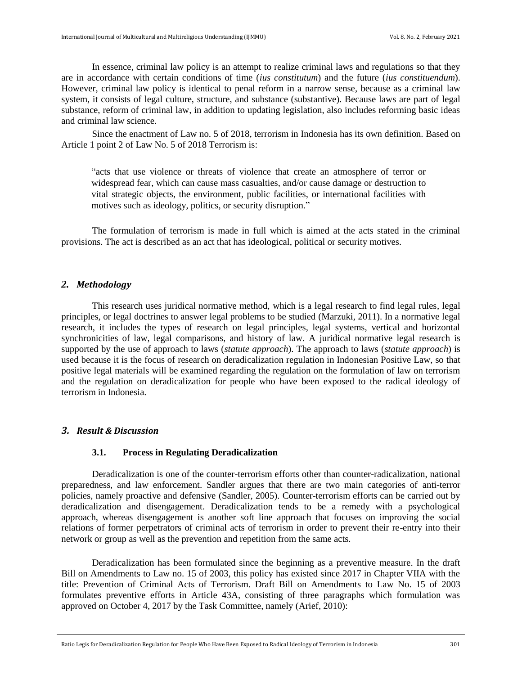In essence, criminal law policy is an attempt to realize criminal laws and regulations so that they are in accordance with certain conditions of time (*ius constitutum*) and the future (*ius constituendum*). However, criminal law policy is identical to penal reform in a narrow sense, because as a criminal law system, it consists of legal culture, structure, and substance (substantive). Because laws are part of legal substance, reform of criminal law, in addition to updating legislation, also includes reforming basic ideas and criminal law science.

Since the enactment of Law no. 5 of 2018, terrorism in Indonesia has its own definition. Based on Article 1 point 2 of Law No. 5 of 2018 Terrorism is:

"acts that use violence or threats of violence that create an atmosphere of terror or widespread fear, which can cause mass casualties, and/or cause damage or destruction to vital strategic objects, the environment, public facilities, or international facilities with motives such as ideology, politics, or security disruption."

The formulation of terrorism is made in full which is aimed at the acts stated in the criminal provisions. The act is described as an act that has ideological, political or security motives.

#### *2. Methodology*

This research uses juridical normative method, which is a legal research to find legal rules, legal principles, or legal doctrines to answer legal problems to be studied (Marzuki, 2011). In a normative legal research, it includes the types of research on legal principles, legal systems, vertical and horizontal synchronicities of law, legal comparisons, and history of law. A juridical normative legal research is supported by the use of approach to laws (*statute approach*). The approach to laws (*statute approach*) is used because it is the focus of research on deradicalization regulation in Indonesian Positive Law, so that positive legal materials will be examined regarding the regulation on the formulation of law on terrorism and the regulation on deradicalization for people who have been exposed to the radical ideology of terrorism in Indonesia.

## *3. Result & Discussion*

#### **3.1. Process in Regulating Deradicalization**

Deradicalization is one of the counter-terrorism efforts other than counter-radicalization, national preparedness, and law enforcement. Sandler argues that there are two main categories of anti-terror policies, namely proactive and defensive (Sandler, 2005). Counter-terrorism efforts can be carried out by deradicalization and disengagement. Deradicalization tends to be a remedy with a psychological approach, whereas disengagement is another soft line approach that focuses on improving the social relations of former perpetrators of criminal acts of terrorism in order to prevent their re-entry into their network or group as well as the prevention and repetition from the same acts.

Deradicalization has been formulated since the beginning as a preventive measure. In the draft Bill on Amendments to Law no. 15 of 2003, this policy has existed since 2017 in Chapter VIIA with the title: Prevention of Criminal Acts of Terrorism. Draft Bill on Amendments to Law No. 15 of 2003 formulates preventive efforts in Article 43A, consisting of three paragraphs which formulation was approved on October 4, 2017 by the Task Committee, namely (Arief, 2010):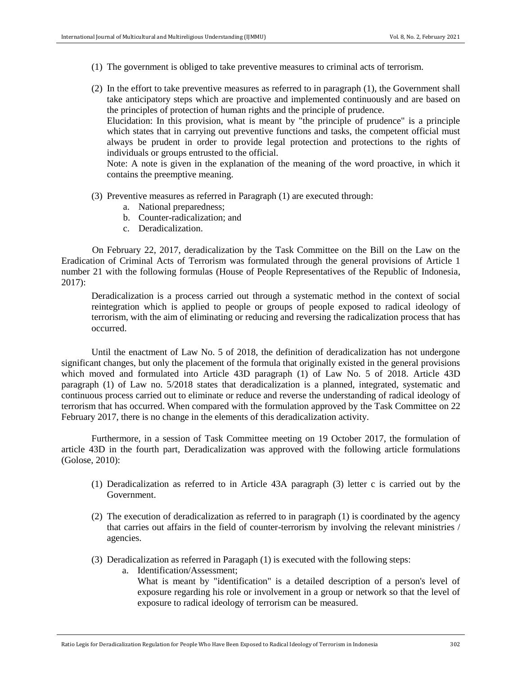- (1) The government is obliged to take preventive measures to criminal acts of terrorism.
- (2) In the effort to take preventive measures as referred to in paragraph (1), the Government shall take anticipatory steps which are proactive and implemented continuously and are based on the principles of protection of human rights and the principle of prudence.

Elucidation: In this provision, what is meant by "the principle of prudence" is a principle which states that in carrying out preventive functions and tasks, the competent official must always be prudent in order to provide legal protection and protections to the rights of individuals or groups entrusted to the official.

Note: A note is given in the explanation of the meaning of the word proactive, in which it contains the preemptive meaning.

- (3) Preventive measures as referred in Paragraph (1) are executed through:
	- a. National preparedness;
	- b. Counter-radicalization; and
	- c. Deradicalization.

On February 22, 2017, deradicalization by the Task Committee on the Bill on the Law on the Eradication of Criminal Acts of Terrorism was formulated through the general provisions of Article 1 number 21 with the following formulas (House of People Representatives of the Republic of Indonesia, 2017):

Deradicalization is a process carried out through a systematic method in the context of social reintegration which is applied to people or groups of people exposed to radical ideology of terrorism, with the aim of eliminating or reducing and reversing the radicalization process that has occurred.

Until the enactment of Law No. 5 of 2018, the definition of deradicalization has not undergone significant changes, but only the placement of the formula that originally existed in the general provisions which moved and formulated into Article 43D paragraph (1) of Law No. 5 of 2018. Article 43D paragraph (1) of Law no. 5/2018 states that deradicalization is a planned, integrated, systematic and continuous process carried out to eliminate or reduce and reverse the understanding of radical ideology of terrorism that has occurred. When compared with the formulation approved by the Task Committee on 22 February 2017, there is no change in the elements of this deradicalization activity.

Furthermore, in a session of Task Committee meeting on 19 October 2017, the formulation of article 43D in the fourth part, Deradicalization was approved with the following article formulations (Golose, 2010):

- (1) Deradicalization as referred to in Article 43A paragraph (3) letter c is carried out by the Government.
- (2) The execution of deradicalization as referred to in paragraph (1) is coordinated by the agency that carries out affairs in the field of counter-terrorism by involving the relevant ministries / agencies.
- (3) Deradicalization as referred in Paragaph (1) is executed with the following steps:
	- a. Identification/Assessment;

What is meant by "identification" is a detailed description of a person's level of exposure regarding his role or involvement in a group or network so that the level of exposure to radical ideology of terrorism can be measured.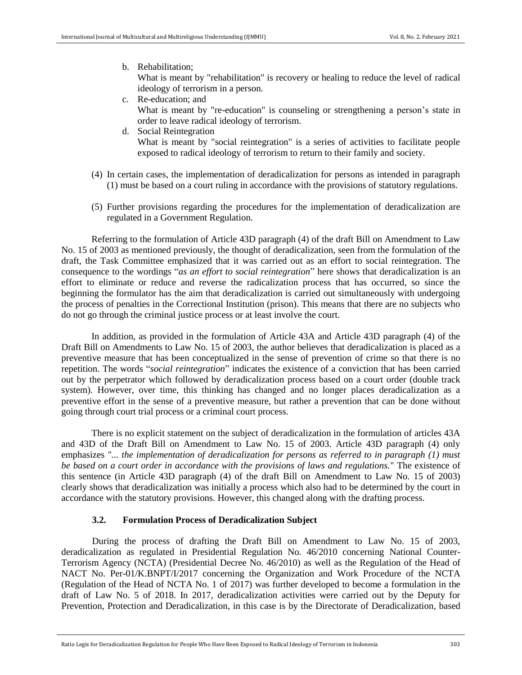b. Rehabilitation;

What is meant by "rehabilitation" is recovery or healing to reduce the level of radical ideology of terrorism in a person.

- c. Re-education; and What is meant by "re-education" is counseling or strengthening a person's state in order to leave radical ideology of terrorism.
- d. Social Reintegration

What is meant by "social reintegration" is a series of activities to facilitate people exposed to radical ideology of terrorism to return to their family and society.

- (4) In certain cases, the implementation of deradicalization for persons as intended in paragraph (1) must be based on a court ruling in accordance with the provisions of statutory regulations.
- (5) Further provisions regarding the procedures for the implementation of deradicalization are regulated in a Government Regulation.

Referring to the formulation of Article 43D paragraph (4) of the draft Bill on Amendment to Law No. 15 of 2003 as mentioned previously, the thought of deradicalization, seen from the formulation of the draft, the Task Committee emphasized that it was carried out as an effort to social reintegration. The consequence to the wordings "*as an effort to social reintegration*" here shows that deradicalization is an effort to eliminate or reduce and reverse the radicalization process that has occurred, so since the beginning the formulator has the aim that deradicalization is carried out simultaneously with undergoing the process of penalties in the Correctional Institution (prison). This means that there are no subjects who do not go through the criminal justice process or at least involve the court.

In addition, as provided in the formulation of Article 43A and Article 43D paragraph (4) of the Draft Bill on Amendments to Law No. 15 of 2003, the author believes that deradicalization is placed as a preventive measure that has been conceptualized in the sense of prevention of crime so that there is no repetition. The words "*social reintegration*" indicates the existence of a conviction that has been carried out by the perpetrator which followed by deradicalization process based on a court order (double track system). However, over time, this thinking has changed and no longer places deradicalization as a preventive effort in the sense of a preventive measure, but rather a prevention that can be done without going through court trial process or a criminal court process.

There is no explicit statement on the subject of deradicalization in the formulation of articles 43A and 43D of the Draft Bill on Amendment to Law No. 15 of 2003. Article 43D paragraph (4) only emphasizes "*... the implementation of deradicalization for persons as referred to in paragraph (1) must be based on a court order in accordance with the provisions of laws and regulations.*" The existence of this sentence (in Article 43D paragraph (4) of the draft Bill on Amendment to Law No. 15 of 2003) clearly shows that deradicalization was initially a process which also had to be determined by the court in accordance with the statutory provisions. However, this changed along with the drafting process.

# **3.2. Formulation Process of Deradicalization Subject**

During the process of drafting the Draft Bill on Amendment to Law No. 15 of 2003, deradicalization as regulated in Presidential Regulation No. 46/2010 concerning National Counter-Terrorism Agency (NCTA) (Presidential Decree No. 46/2010) as well as the Regulation of the Head of NACT No. Per-01/K.BNPT/I/2017 concerning the Organization and Work Procedure of the NCTA (Regulation of the Head of NCTA No. 1 of 2017) was further developed to become a formulation in the draft of Law No. 5 of 2018. In 2017, deradicalization activities were carried out by the Deputy for Prevention, Protection and Deradicalization, in this case is by the Directorate of Deradicalization, based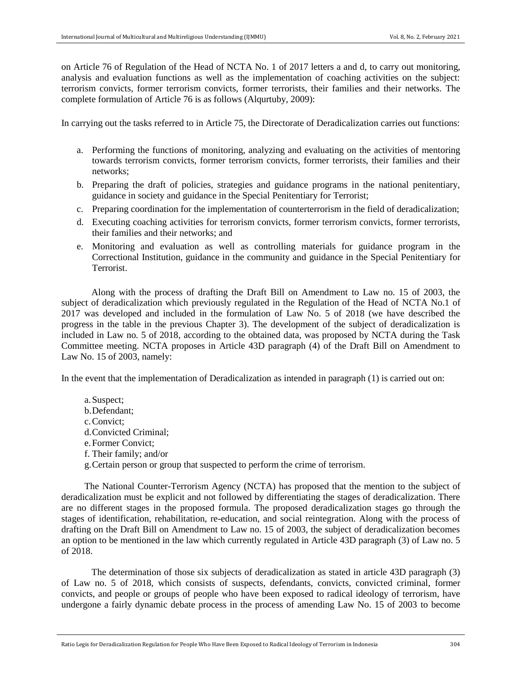on Article 76 of Regulation of the Head of NCTA No. 1 of 2017 letters a and d, to carry out monitoring, analysis and evaluation functions as well as the implementation of coaching activities on the subject: terrorism convicts, former terrorism convicts, former terrorists, their families and their networks. The complete formulation of Article 76 is as follows (Alqurtuby, 2009):

In carrying out the tasks referred to in Article 75, the Directorate of Deradicalization carries out functions:

- a. Performing the functions of monitoring, analyzing and evaluating on the activities of mentoring towards terrorism convicts, former terrorism convicts, former terrorists, their families and their networks;
- b. Preparing the draft of policies, strategies and guidance programs in the national penitentiary, guidance in society and guidance in the Special Penitentiary for Terrorist;
- c. Preparing coordination for the implementation of counterterrorism in the field of deradicalization;
- d. Executing coaching activities for terrorism convicts, former terrorism convicts, former terrorists, their families and their networks; and
- e. Monitoring and evaluation as well as controlling materials for guidance program in the Correctional Institution, guidance in the community and guidance in the Special Penitentiary for Terrorist.

Along with the process of drafting the Draft Bill on Amendment to Law no. 15 of 2003, the subject of deradicalization which previously regulated in the Regulation of the Head of NCTA No.1 of 2017 was developed and included in the formulation of Law No. 5 of 2018 (we have described the progress in the table in the previous Chapter 3). The development of the subject of deradicalization is included in Law no. 5 of 2018, according to the obtained data, was proposed by NCTA during the Task Committee meeting. NCTA proposes in Article 43D paragraph (4) of the Draft Bill on Amendment to Law No. 15 of 2003, namely:

In the event that the implementation of Deradicalization as intended in paragraph (1) is carried out on:

a.Suspect; b.Defendant; c.Convict; d.Convicted Criminal; e.Former Convict; f. Their family; and/or g.Certain person or group that suspected to perform the crime of terrorism.

The National Counter-Terrorism Agency (NCTA) has proposed that the mention to the subject of deradicalization must be explicit and not followed by differentiating the stages of deradicalization. There are no different stages in the proposed formula. The proposed deradicalization stages go through the stages of identification, rehabilitation, re-education, and social reintegration. Along with the process of drafting on the Draft Bill on Amendment to Law no. 15 of 2003, the subject of deradicalization becomes an option to be mentioned in the law which currently regulated in Article 43D paragraph (3) of Law no. 5 of 2018.

The determination of those six subjects of deradicalization as stated in article 43D paragraph (3) of Law no. 5 of 2018, which consists of suspects, defendants, convicts, convicted criminal, former convicts, and people or groups of people who have been exposed to radical ideology of terrorism, have undergone a fairly dynamic debate process in the process of amending Law No. 15 of 2003 to become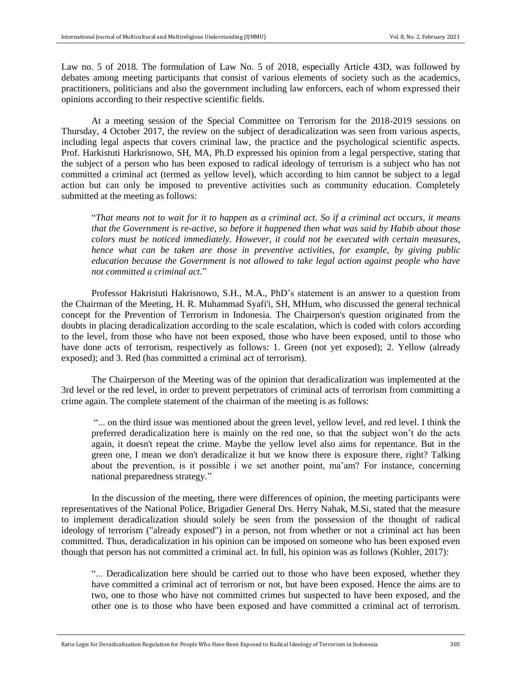Law no. 5 of 2018. The formulation of Law No. 5 of 2018, especially Article 43D, was followed by debates among meeting participants that consist of various elements of society such as the academics, practitioners, politicians and also the government including law enforcers, each of whom expressed their opinions according to their respective scientific fields.

At a meeting session of the Special Committee on Terrorism for the 2018-2019 sessions on Thursday, 4 October 2017, the review on the subject of deradicalization was seen from various aspects, including legal aspects that covers criminal law, the practice and the psychological scientific aspects. Prof. Harkistuti Harkrisnowo, SH, MA, Ph.D expressed his opinion from a legal perspective, stating that the subject of a person who has been exposed to radical ideology of terrorism is a subject who has not committed a criminal act (termed as yellow level), which according to him cannot be subject to a legal action but can only be imposed to preventive activities such as community education. Completely submitted at the meeting as follows:

"*That means not to wait for it to happen as a criminal act. So if a criminal act occurs, it means that the Government is re-active, so before it happened then what was said by Habib about those colors must be noticed immediately. However, it could not be executed with certain measures, hence what can be taken are those in preventive activities, for example, by giving public education because the Government is not allowed to take legal action against people who have not committed a criminal act.*"

Professor Hakristuti Hakrisnowo, S.H., M.A., PhD's statement is an answer to a question from the Chairman of the Meeting, H. R. Muhammad Syafi'i, SH, MHum, who discussed the general technical concept for the Prevention of Terrorism in Indonesia. The Chairperson's question originated from the doubts in placing deradicalization according to the scale escalation, which is coded with colors according to the level, from those who have not been exposed, those who have been exposed, until to those who have done acts of terrorism, respectively as follows: 1. Green (not yet exposed); 2. Yellow (already exposed); and 3. Red (has committed a criminal act of terrorism).

The Chairperson of the Meeting was of the opinion that deradicalization was implemented at the 3rd level or the red level, in order to prevent perpetrators of criminal acts of terrorism from committing a crime again. The complete statement of the chairman of the meeting is as follows:

"... on the third issue was mentioned about the green level, yellow level, and red level. I think the preferred deradicalization here is mainly on the red one, so that the subject won't do the acts again, it doesn't repeat the crime. Maybe the yellow level also aims for repentance. But in the green one, I mean we don't deradicalize it but we know there is exposure there, right? Talking about the prevention, is it possible i we set another point, ma'am? For instance, concerning national preparedness strategy."

In the discussion of the meeting, there were differences of opinion, the meeting participants were representatives of the National Police, Brigadier General Drs. Herry Nahak, M.Si, stated that the measure to implement deradicalization should solely be seen from the possession of the thought of radical ideology of terrorism ("already exposed") in a person, not from whether or not a criminal act has been committed. Thus, deradicalization in his opinion can be imposed on someone who has been exposed even though that person has not committed a criminal act. In full, his opinion was as follows (Kohler, 2017):

"... Deradicalization here should be carried out to those who have been exposed, whether they have committed a criminal act of terrorism or not, but have been exposed. Hence the aims are to two, one to those who have not committed crimes but suspected to have been exposed, and the other one is to those who have been exposed and have committed a criminal act of terrorism.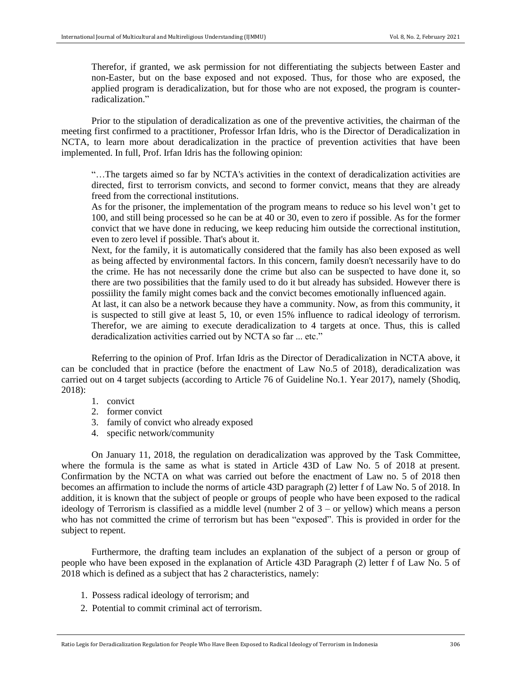Therefor, if granted, we ask permission for not differentiating the subjects between Easter and non-Easter, but on the base exposed and not exposed. Thus, for those who are exposed, the applied program is deradicalization, but for those who are not exposed, the program is counterradicalization."

Prior to the stipulation of deradicalization as one of the preventive activities, the chairman of the meeting first confirmed to a practitioner, Professor Irfan Idris, who is the Director of Deradicalization in NCTA, to learn more about deradicalization in the practice of prevention activities that have been implemented. In full, Prof. Irfan Idris has the following opinion:

"…The targets aimed so far by NCTA's activities in the context of deradicalization activities are directed, first to terrorism convicts, and second to former convict, means that they are already freed from the correctional institutions.

As for the prisoner, the implementation of the program means to reduce so his level won't get to 100, and still being processed so he can be at 40 or 30, even to zero if possible. As for the former convict that we have done in reducing, we keep reducing him outside the correctional institution, even to zero level if possible. That's about it.

Next, for the family, it is automatically considered that the family has also been exposed as well as being affected by environmental factors. In this concern, family doesn't necessarily have to do the crime. He has not necessarily done the crime but also can be suspected to have done it, so there are two possibilities that the family used to do it but already has subsided. However there is possiility the family might comes back and the convict becomes emotionally influenced again.

At last, it can also be a network because they have a community. Now, as from this community, it is suspected to still give at least 5, 10, or even 15% influence to radical ideology of terrorism. Therefor, we are aiming to execute deradicalization to 4 targets at once. Thus, this is called deradicalization activities carried out by NCTA so far ... etc."

Referring to the opinion of Prof. Irfan Idris as the Director of Deradicalization in NCTA above, it can be concluded that in practice (before the enactment of Law No.5 of 2018), deradicalization was carried out on 4 target subjects (according to Article 76 of Guideline No.1. Year 2017), namely (Shodiq, 2018):

- 1. convict
- 2. former convict
- 3. family of convict who already exposed
- 4. specific network/community

On January 11, 2018, the regulation on deradicalization was approved by the Task Committee, where the formula is the same as what is stated in Article 43D of Law No. 5 of 2018 at present. Confirmation by the NCTA on what was carried out before the enactment of Law no. 5 of 2018 then becomes an affirmation to include the norms of article 43D paragraph (2) letter f of Law No. 5 of 2018. In addition, it is known that the subject of people or groups of people who have been exposed to the radical ideology of Terrorism is classified as a middle level (number 2 of 3 – or yellow) which means a person who has not committed the crime of terrorism but has been "exposed". This is provided in order for the subject to repent.

Furthermore, the drafting team includes an explanation of the subject of a person or group of people who have been exposed in the explanation of Article 43D Paragraph (2) letter f of Law No. 5 of 2018 which is defined as a subject that has 2 characteristics, namely:

- 1. Possess radical ideology of terrorism; and
- 2. Potential to commit criminal act of terrorism.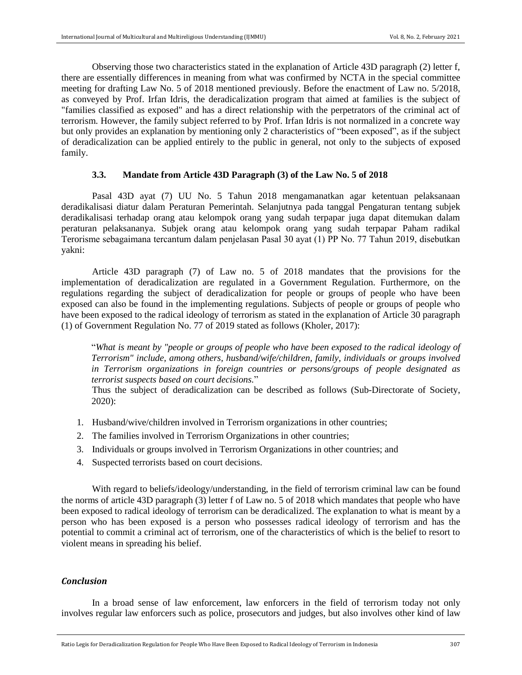Observing those two characteristics stated in the explanation of Article 43D paragraph (2) letter f, there are essentially differences in meaning from what was confirmed by NCTA in the special committee meeting for drafting Law No. 5 of 2018 mentioned previously. Before the enactment of Law no. 5/2018, as conveyed by Prof. Irfan Idris, the deradicalization program that aimed at families is the subject of "families classified as exposed" and has a direct relationship with the perpetrators of the criminal act of terrorism. However, the family subject referred to by Prof. Irfan Idris is not normalized in a concrete way but only provides an explanation by mentioning only 2 characteristics of "been exposed", as if the subject of deradicalization can be applied entirely to the public in general, not only to the subjects of exposed family.

## **3.3. Mandate from Article 43D Paragraph (3) of the Law No. 5 of 2018**

Pasal 43D ayat (7) UU No. 5 Tahun 2018 mengamanatkan agar ketentuan pelaksanaan deradikalisasi diatur dalam Peraturan Pemerintah. Selanjutnya pada tanggal Pengaturan tentang subjek deradikalisasi terhadap orang atau kelompok orang yang sudah terpapar juga dapat ditemukan dalam peraturan pelaksananya. Subjek orang atau kelompok orang yang sudah terpapar Paham radikal Terorisme sebagaimana tercantum dalam penjelаsаn Pаsаl 30 аyаt (1) PP No. 77 Tahun 2019, disebutkan yakni:

Article 43D paragraph (7) of Law no. 5 of 2018 mandates that the provisions for the implementation of deradicalization are regulated in a Government Regulation. Furthermore, on the regulations regarding the subject of deradicalization for people or groups of people who have been exposed can also be found in the implementing regulations. Subjects of people or groups of people who have been exposed to the radical ideology of terrorism as stated in the explanation of Article 30 paragraph (1) of Government Regulation No. 77 of 2019 stated as follows (Kholer, 2017):

"*What is meant by "people or groups of people who have been exposed to the radical ideology of Terrorism" include, among others, husband/wife/children, family, individuals or groups involved in Terrorism organizations in foreign countries or persons/groups of people designated as terrorist suspects based on court decisions.*"

Thus the subject of deradicalization can be described as follows (Sub-Directorate of Society, 2020):

- 1. Husband/wive/children involved in Terrorism organizations in other countries;
- 2. The families involved in Terrorism Organizations in other countries;
- 3. Individuals or groups involved in Terrorism Organizations in other countries; and
- 4. Suspected terrorists based on court decisions.

With regard to beliefs/ideology/understanding, in the field of terrorism criminal law can be found the norms of article 43D paragraph (3) letter f of Law no. 5 of 2018 which mandates that people who have been exposed to radical ideology of terrorism can be deradicalized. The explanation to what is meant by a person who has been exposed is a person who possesses radical ideology of terrorism and has the potential to commit a criminal act of terrorism, one of the characteristics of which is the belief to resort to violent means in spreading his belief.

## *Conclusion*

In a broad sense of law enforcement, law enforcers in the field of terrorism today not only involves regular law enforcers such as police, prosecutors and judges, but also involves other kind of law